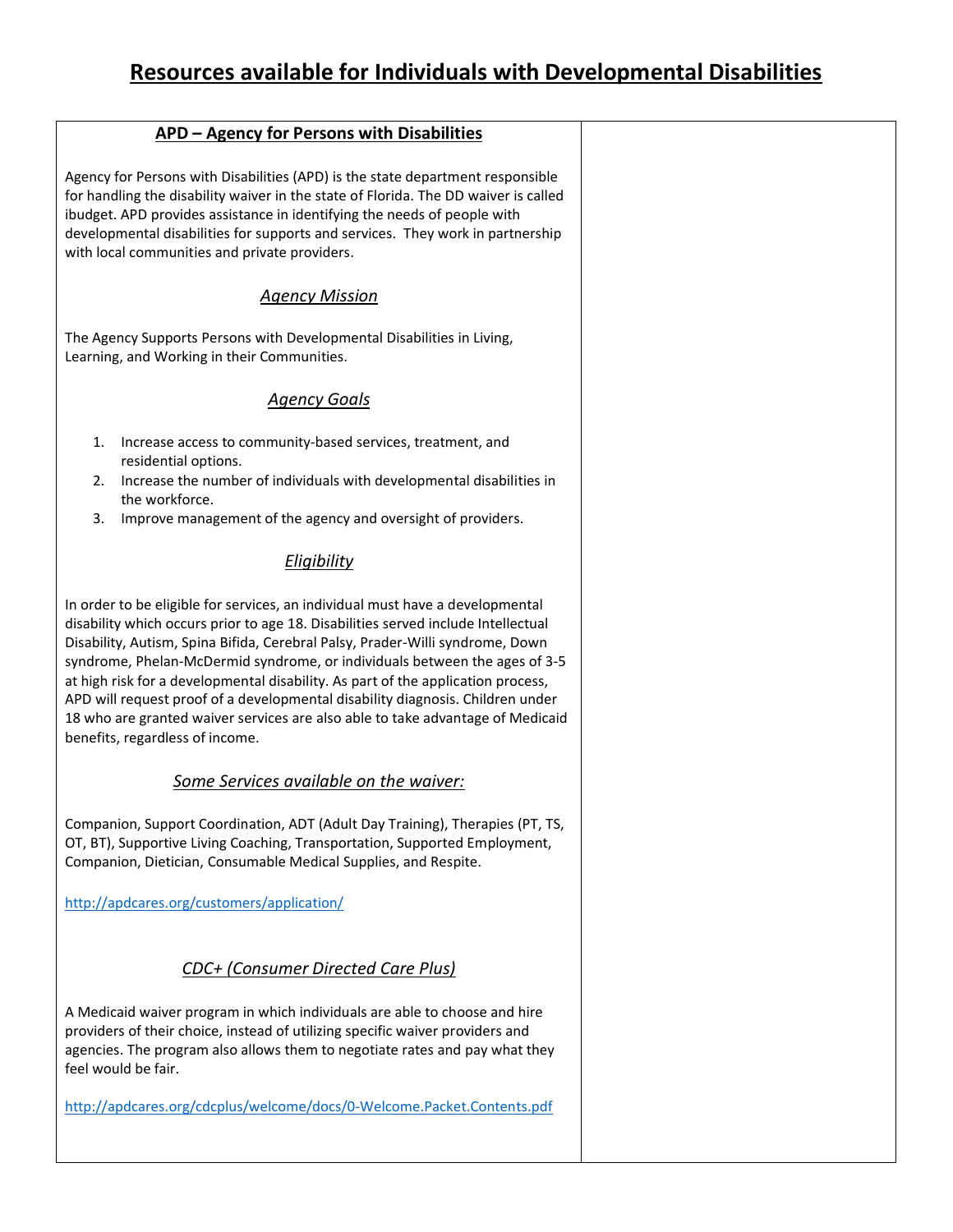| <b>APD - Agency for Persons with Disabilities</b>                                                                                                                                                                                                                                                                                                                                                                                                                                                                                                                                                                            |  |
|------------------------------------------------------------------------------------------------------------------------------------------------------------------------------------------------------------------------------------------------------------------------------------------------------------------------------------------------------------------------------------------------------------------------------------------------------------------------------------------------------------------------------------------------------------------------------------------------------------------------------|--|
| Agency for Persons with Disabilities (APD) is the state department responsible<br>for handling the disability waiver in the state of Florida. The DD waiver is called<br>ibudget. APD provides assistance in identifying the needs of people with<br>developmental disabilities for supports and services. They work in partnership<br>with local communities and private providers.                                                                                                                                                                                                                                         |  |
| <b>Agency Mission</b>                                                                                                                                                                                                                                                                                                                                                                                                                                                                                                                                                                                                        |  |
| The Agency Supports Persons with Developmental Disabilities in Living,<br>Learning, and Working in their Communities.                                                                                                                                                                                                                                                                                                                                                                                                                                                                                                        |  |
| <b>Agency Goals</b>                                                                                                                                                                                                                                                                                                                                                                                                                                                                                                                                                                                                          |  |
| Increase access to community-based services, treatment, and<br>1.<br>residential options.<br>Increase the number of individuals with developmental disabilities in<br>2.<br>the workforce.<br>Improve management of the agency and oversight of providers.<br>3.                                                                                                                                                                                                                                                                                                                                                             |  |
| Eligibility                                                                                                                                                                                                                                                                                                                                                                                                                                                                                                                                                                                                                  |  |
| In order to be eligible for services, an individual must have a developmental<br>disability which occurs prior to age 18. Disabilities served include Intellectual<br>Disability, Autism, Spina Bifida, Cerebral Palsy, Prader-Willi syndrome, Down<br>syndrome, Phelan-McDermid syndrome, or individuals between the ages of 3-5<br>at high risk for a developmental disability. As part of the application process,<br>APD will request proof of a developmental disability diagnosis. Children under<br>18 who are granted waiver services are also able to take advantage of Medicaid<br>benefits, regardless of income. |  |
| Some Services available on the waiver:                                                                                                                                                                                                                                                                                                                                                                                                                                                                                                                                                                                       |  |
| Companion, Support Coordination, ADT (Adult Day Training), Therapies (PT, TS,<br>OT, BT), Supportive Living Coaching, Transportation, Supported Employment,<br>Companion, Dietician, Consumable Medical Supplies, and Respite.                                                                                                                                                                                                                                                                                                                                                                                               |  |
| http://apdcares.org/customers/application/                                                                                                                                                                                                                                                                                                                                                                                                                                                                                                                                                                                   |  |
| CDC+ (Consumer Directed Care Plus)                                                                                                                                                                                                                                                                                                                                                                                                                                                                                                                                                                                           |  |
| A Medicaid waiver program in which individuals are able to choose and hire<br>providers of their choice, instead of utilizing specific waiver providers and<br>agencies. The program also allows them to negotiate rates and pay what they                                                                                                                                                                                                                                                                                                                                                                                   |  |

<http://apdcares.org/cdcplus/welcome/docs/0-Welcome.Packet.Contents.pdf>

feel would be fair.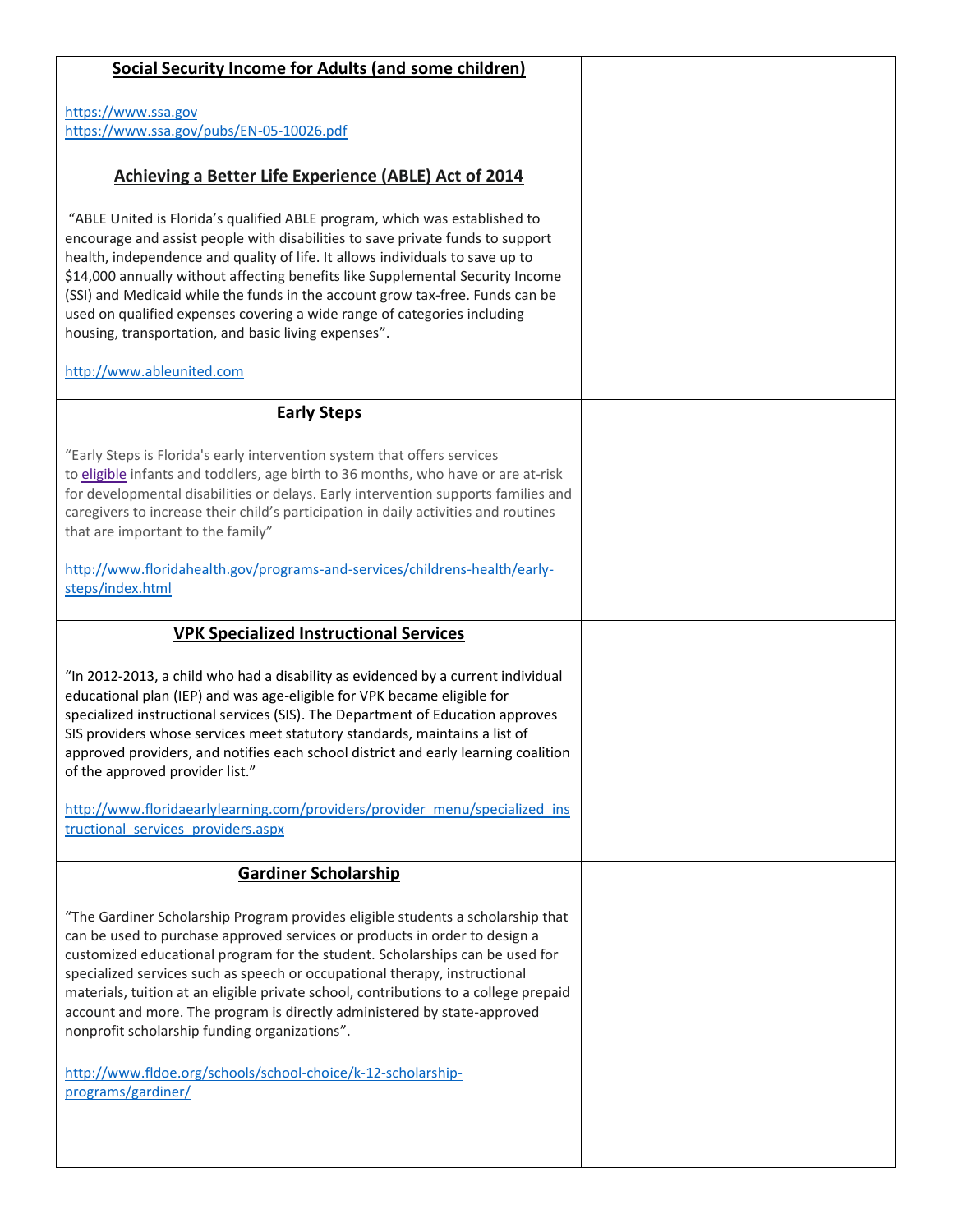| <b>Social Security Income for Adults (and some children)</b>                                                                                                                                                                                                                                                                                                                                                                                                                                                                                                                                                     |  |
|------------------------------------------------------------------------------------------------------------------------------------------------------------------------------------------------------------------------------------------------------------------------------------------------------------------------------------------------------------------------------------------------------------------------------------------------------------------------------------------------------------------------------------------------------------------------------------------------------------------|--|
| https://www.ssa.gov<br>https://www.ssa.gov/pubs/EN-05-10026.pdf                                                                                                                                                                                                                                                                                                                                                                                                                                                                                                                                                  |  |
| Achieving a Better Life Experience (ABLE) Act of 2014                                                                                                                                                                                                                                                                                                                                                                                                                                                                                                                                                            |  |
| "ABLE United is Florida's qualified ABLE program, which was established to<br>encourage and assist people with disabilities to save private funds to support<br>health, independence and quality of life. It allows individuals to save up to<br>\$14,000 annually without affecting benefits like Supplemental Security Income<br>(SSI) and Medicaid while the funds in the account grow tax-free. Funds can be<br>used on qualified expenses covering a wide range of categories including<br>housing, transportation, and basic living expenses".                                                             |  |
| http://www.ableunited.com                                                                                                                                                                                                                                                                                                                                                                                                                                                                                                                                                                                        |  |
| <b>Early Steps</b>                                                                                                                                                                                                                                                                                                                                                                                                                                                                                                                                                                                               |  |
| "Early Steps is Florida's early intervention system that offers services<br>to eligible infants and toddlers, age birth to 36 months, who have or are at-risk<br>for developmental disabilities or delays. Early intervention supports families and<br>caregivers to increase their child's participation in daily activities and routines<br>that are important to the family"<br>http://www.floridahealth.gov/programs-and-services/childrens-health/early-<br>steps/index.html                                                                                                                                |  |
| <b>VPK Specialized Instructional Services</b>                                                                                                                                                                                                                                                                                                                                                                                                                                                                                                                                                                    |  |
| "In 2012-2013, a child who had a disability as evidenced by a current individual<br>educational plan (IEP) and was age-eligible for VPK became eligible for<br>specialized instructional services (SIS). The Department of Education approves<br>SIS providers whose services meet statutory standards, maintains a list of<br>approved providers, and notifies each school district and early learning coalition<br>of the approved provider list."<br>http://www.floridaearlylearning.com/providers/provider_menu/specialized_ins<br>tructional services providers.aspx                                        |  |
| <b>Gardiner Scholarship</b>                                                                                                                                                                                                                                                                                                                                                                                                                                                                                                                                                                                      |  |
| "The Gardiner Scholarship Program provides eligible students a scholarship that<br>can be used to purchase approved services or products in order to design a<br>customized educational program for the student. Scholarships can be used for<br>specialized services such as speech or occupational therapy, instructional<br>materials, tuition at an eligible private school, contributions to a college prepaid<br>account and more. The program is directly administered by state-approved<br>nonprofit scholarship funding organizations".<br>http://www.fldoe.org/schools/school-choice/k-12-scholarship- |  |